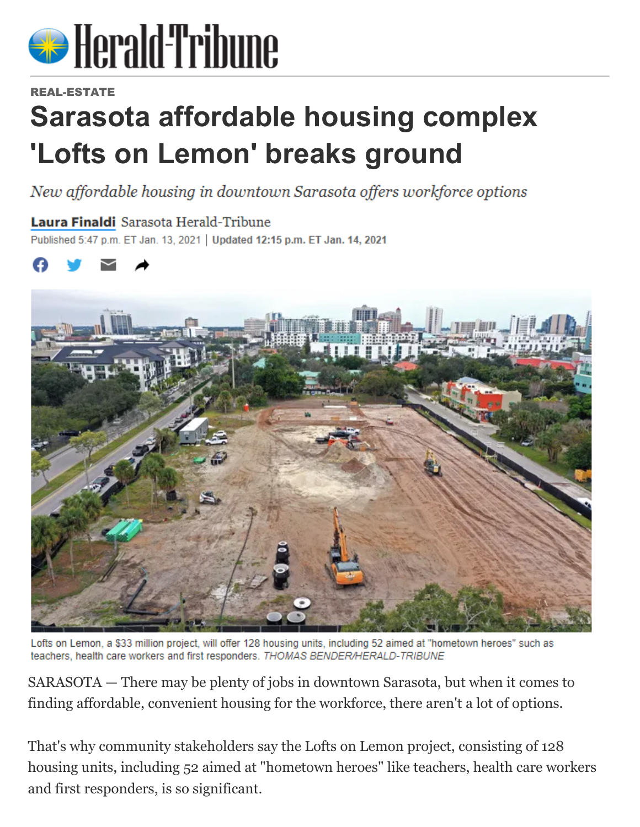

## REAL-ESTATE

## **Sarasota affordable housing complex 'Lofts on Lemon' breaks ground**

New affordable housing in downtown Sarasota offers workforce options

## Laura Finaldi Sarasota Herald-Tribune

Published 5:47 p.m. ET Jan. 13, 2021 | Updated 12:15 p.m. ET Jan. 14, 2021



Lofts on Lemon, a \$33 million project, will offer 128 housing units, including 52 aimed at "hometown heroes" such as teachers, health care workers and first responders, THOMAS BENDER/HERALD-TRIBUNE

SARASOTA — There may be plenty of jobs in downtown Sarasota, but when it comes to finding affordable, convenient housing for the workforce, there aren't a lot of options.

That's why community stakeholders say the Lofts on Lemon project, consisting of 128 housing units, including 52 aimed at "hometown heroes" like teachers, health care workers and first responders, is so significant.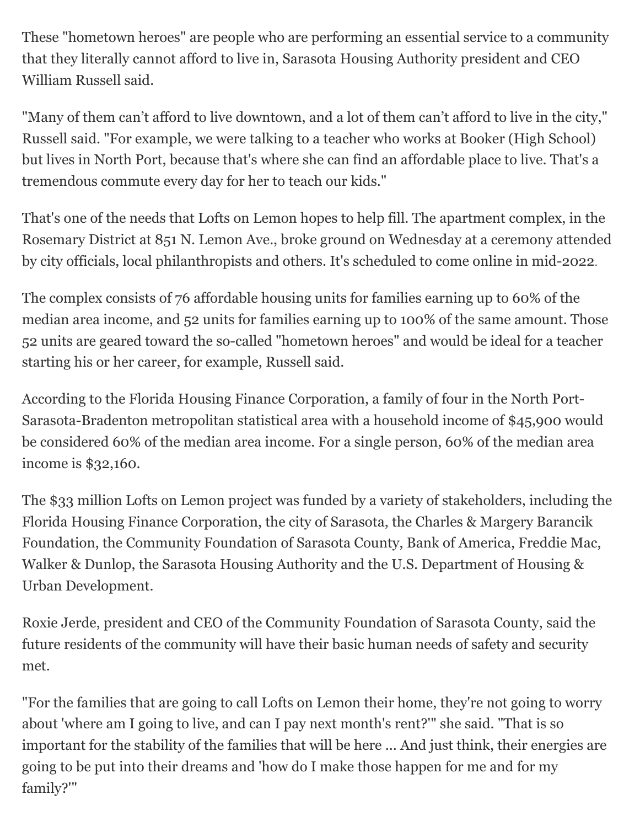These "hometown heroes" are people who are performing an essential service to a community that they literally cannot afford to live in, Sarasota Housing Authority president and CEO William Russell said.

"Many of them can't afford to live downtown, and a lot of them can't afford to live in the city," Russell said. "For example, we were talking to a teacher who works at Booker (High School) but lives in North Port, because that's where she can find an affordable place to live. That's a tremendous commute every day for her to teach our kids."

That's one of the needs that Lofts on Lemon hopes to help fill. The apartment complex, in the Rosemary District at 851 N. Lemon Ave., broke ground on Wednesday at a ceremony attended by city officials, local philanthropists and others. It's scheduled to come online in mid-2022.

The complex consists of 76 affordable housing units for families earning up to 60% of the median area income, and 52 units for families earning up to 100% of the same amount. Those 52 units are geared toward the so-called "hometown heroes" and would be ideal for a teacher starting his or her career, for example, Russell said.

According to the Florida Housing Finance Corporation, a family of four in the North Port-Sarasota-Bradenton metropolitan statistical area with a household income of \$45,900 would be considered 60% of the median area income. For a single person, 60% of the median area income is \$32,160.

The \$33 million Lofts on Lemon project was funded by a variety of stakeholders, including the Florida Housing Finance Corporation, the city of Sarasota, the Charles & Margery Barancik Foundation, the Community Foundation of Sarasota County, Bank of America, Freddie Mac, Walker & Dunlop, the Sarasota Housing Authority and the U.S. Department of Housing & Urban Development.

Roxie Jerde, president and CEO of the Community Foundation of Sarasota County, said the future residents of the community will have their basic human needs of safety and security met.

"For the families that are going to call Lofts on Lemon their home, they're not going to worry about 'where am I going to live, and can I pay next month's rent?'" she said. "That is so important for the stability of the families that will be here ... And just think, their energies are going to be put into their dreams and 'how do I make those happen for me and for my family?'"